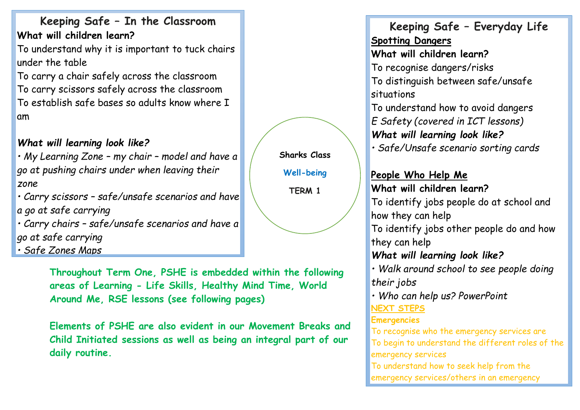**Keeping Safe – In the Classroom What will children learn?**

To understand why it is important to tuck chairs under the table

To carry a chair safely across the classroom To carry scissors safely across the classroom To establish safe bases so adults know where I am

# *What will learning look like?*

*• My Learning Zone – my chair – model and have a go at pushing chairs under when leaving their zone*

*• Carry scissors – safe/unsafe scenarios and have a go at safe carrying* 

*• Carry chairs – safe/unsafe scenarios and have a go at safe carrying*

*• Safe Zones Maps*

**Throughout Term One, PSHE is embedded within the following areas of Learning - Life Skills, Healthy Mind Time, World Around Me, RSE lessons (see following pages)**

**Elements of PSHE are also evident in our Movement Breaks and Child Initiated sessions as well as being an integral part of our daily routine.** 

**Keeping Safe – Everyday Life Spotting Dangers What will children learn?** To recognise dangers/risks To distinguish between safe/unsafe situations To understand how to avoid dangers *E Safety (covered in ICT lessons) What will learning look like? • Safe/Unsafe scenario sorting cards* **People Who Help Me What will children learn?** To identify jobs people do at school and how they can help To identify jobs other people do and how they can help *What will learning look like? • Walk around school to see people doing their jobs • Who can help us? PowerPoint* **NEXT STEPS Emergencies** To recognise who the emergency services are To begin to understand the different roles of the emergency services

To understand how to seek help from the emergency services/others in an emergency

**Sharks Class Well-being TERM 1**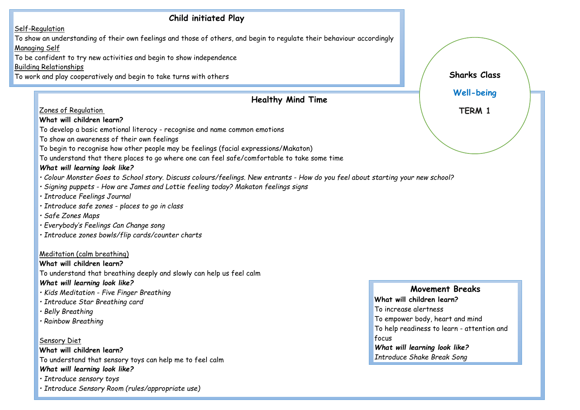#### **Child initiated Play** Self-Regulation To show an understanding of their own feelings and those of others, and begin to regulate their behaviour accordingly Managing Self To be confident to try new activities and begin to show independence Building Relationships To work and play cooperatively and begin to take turns with others **Healthy Mind Time** Zones of Regulation **What will children learn?** To develop a basic emotional literacy - recognise and name common emotions To show an awareness of their own feelings To begin to recognise how other people may be feelings (facial expressions/Makaton) To understand that there places to go where one can feel safe/comfortable to take some time *What will learning look like? • Colour Monster Goes to School story. Discuss colours/feelings. New entrants - How do you feel about starting your new school? • Signing puppets - How are James and Lottie feeling today? Makaton feelings signs • Introduce Feelings Journal • Introduce safe zones - places to go in class • Safe Zones Maps • Everybody's Feelings Can Change song • Introduce zones bowls/flip cards/counter charts* Meditation (calm breathing) **What will children learn?** To understand that breathing deeply and slowly can help us feel calm *What will learning look like? • Kids Meditation - Five Finger Breathing • Introduce Star Breathing card • Belly Breathing • Rainbow Breathing* Sensory Diet **What will children learn?** To understand that sensory toys can help me to feel calm *What will learning look like? • Introduce sensory toys • Introduce Sensory Room (rules/appropriate use)* **Movement Breaks What will children learn?** To increase alertness To empower body, heart and mind To help readiness to learn - attention and focus *What will learning look like? Introduce Shake Break Song* **Sharks Class Well-being TERM 1**